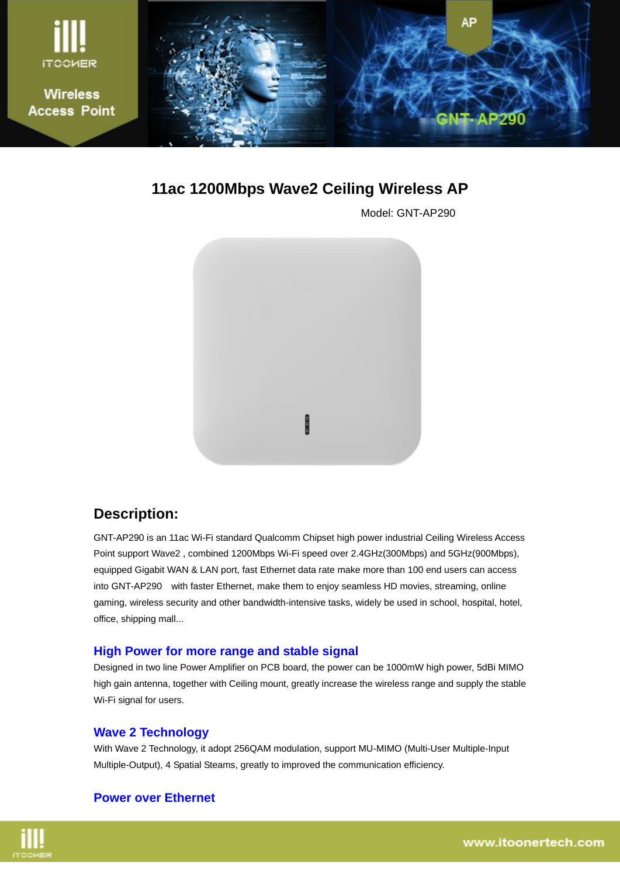

**11ac 1200Mbps Wave2 Ceiling Wireless AP**

Model: GNT-AP290



## **Description:**

GNT-AP290 is an 11ac Wi-Fi standard Qualcomm Chipset high power industrial Ceiling Wireless Access Point support Wave2, combined 1200Mbps Wi-Fi speed over 2.4GHz(300Mbps) and 5GHz(900Mbps), equipped Gigabit WAN & LAN port, fast Ethernet data rate make more than 100 end users can access into GNT-AP290 with faster Ethernet, make them to enjoy seamless HD movies, streaming, online gaming, wireless security and other bandwidth-intensive tasks, widely be used in school, hospital, hotel, office, shipping mall...

### **High Power for more range and stable signal**

Designed in two line Power Amplifier on PCB board, the power can be 1000mW high power, 5dBi MIMO high gain antenna, together with Ceiling mount, greatly increase the wireless range and supply the stable Wi-Fi signal for users.

#### **Wave 2 Technology**

With Wave 2 Technology, it adopt 256QAM modulation, support MU-MIMO (Multi-User Multiple-Input Multiple-Output), 4 Spatial Steams, greatly to improved the communication efficiency.

### **Power over Ethernet**

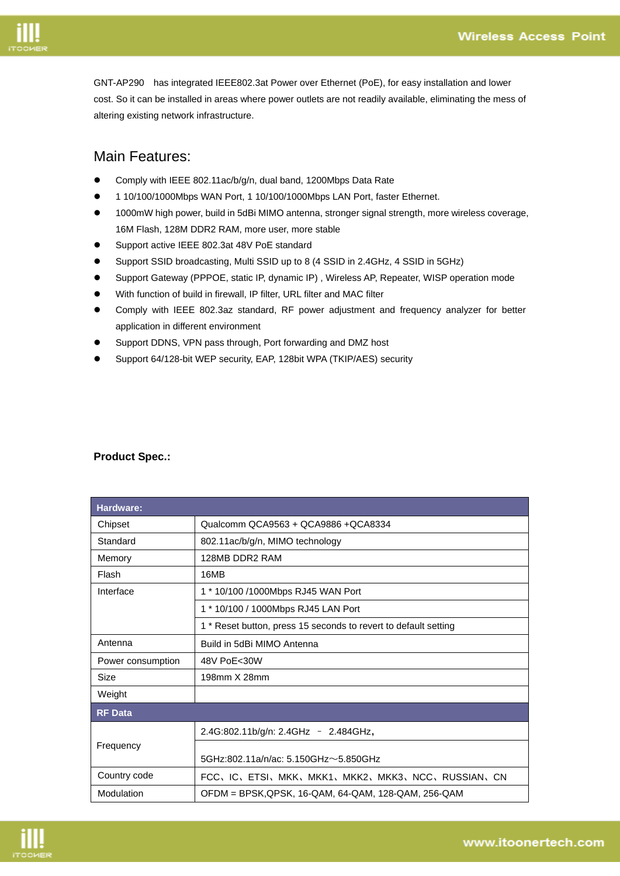

GNT-AP290 has integrated IEEE802.3at Power over Ethernet (PoE), for easy installation and lower cost. So it can be installed in areas where power outlets are not readily available, eliminating the mess of altering existing network infrastructure.

## Main Features:

- Comply with IEEE 802.11ac/b/g/n, dual band, 1200Mbps Data Rate
- 1 10/100/1000Mbps WAN Port, 1 10/100/1000Mbps LAN Port, faster Ethernet.
- 1000mW high power, build in 5dBi MIMO antenna, stronger signal strength, more wireless coverage, 16M Flash, 128M DDR2 RAM, more user, more stable
- Support active IEEE 802.3at 48V PoE standard
- Support SSID broadcasting, Multi SSID up to 8 (4 SSID in 2.4GHz, 4 SSID in 5GHz)
- Support Gateway (PPPOE, static IP, dynamic IP) , Wireless AP, Repeater, WISP operation mode
- With function of build in firewall, IP filter, URL filter and MAC filter
- Comply with IEEE 802.3az standard, RF power adjustment and frequency analyzer for better application in different environment
- Support DDNS, VPN pass through, Port forwarding and DMZ host
- Support 64/128-bit WEP security, EAP, 128bit WPA (TKIP/AES) security

| <b>Hardware:</b>  |                                                                 |
|-------------------|-----------------------------------------------------------------|
| Chipset           | Qualcomm QCA9563 + QCA9886 + QCA8334                            |
| Standard          | 802.11ac/b/g/n, MIMO technology                                 |
| Memory            | 128MB DDR2 RAM                                                  |
| Flash             | 16MB                                                            |
| Interface         | 1 * 10/100 /1000Mbps RJ45 WAN Port                              |
|                   | 1 * 10/100 / 1000Mbps RJ45 LAN Port                             |
|                   | 1 * Reset button, press 15 seconds to revert to default setting |
| Antenna           | Build in 5dBi MIMO Antenna                                      |
| Power consumption | 48V PoE<30W                                                     |
| Size              | 198mm X 28mm                                                    |
| Weight            |                                                                 |
| <b>RF</b> Data    |                                                                 |
|                   | 2.4G:802.11b/g/n: 2.4GHz - 2.484GHz,                            |
| Frequency         |                                                                 |
|                   | 5GHz:802.11a/n/ac: 5.150GHz~5.850GHz                            |
| Country code      | FCC、IC、ETSI、MKK、MKK1、MKK2、MKK3、NCC、RUSSIAN、CN                   |
| Modulation        | OFDM = BPSK,QPSK, 16-QAM, 64-QAM, 128-QAM, 256-QAM              |

#### **Product Spec.:**

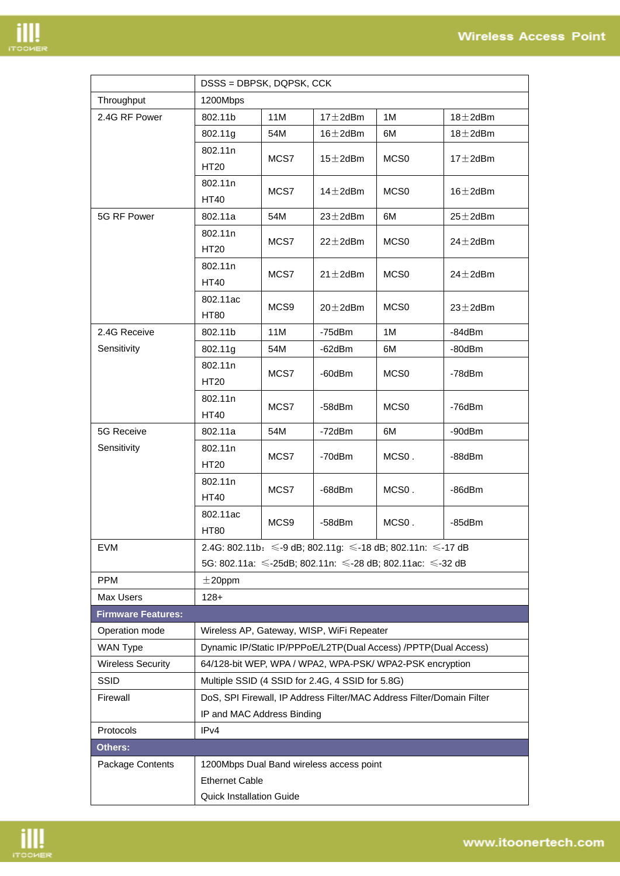

|                                                                                                                                                                                                                                                |                                                                                                                              | DSSS = DBPSK, DQPSK, CCK |                |                    |                |  |  |
|------------------------------------------------------------------------------------------------------------------------------------------------------------------------------------------------------------------------------------------------|------------------------------------------------------------------------------------------------------------------------------|--------------------------|----------------|--------------------|----------------|--|--|
| Throughput                                                                                                                                                                                                                                     | 1200Mbps                                                                                                                     |                          |                |                    |                |  |  |
| 2.4G RF Power                                                                                                                                                                                                                                  | 802.11b                                                                                                                      | 11M                      | $17 \pm 2$ dBm | 1M                 | $18 \pm 2$ dBm |  |  |
|                                                                                                                                                                                                                                                | 802.11g                                                                                                                      | 54M                      | $16 \pm 2$ dBm | 6M                 | $18 \pm 2$ dBm |  |  |
|                                                                                                                                                                                                                                                | 802.11n                                                                                                                      |                          |                |                    |                |  |  |
|                                                                                                                                                                                                                                                | <b>HT20</b>                                                                                                                  | MCS7                     | $15 \pm 2$ dBm | MCS <sub>0</sub>   | $17 \pm 2$ dBm |  |  |
|                                                                                                                                                                                                                                                | 802.11n                                                                                                                      |                          |                |                    |                |  |  |
|                                                                                                                                                                                                                                                | <b>HT40</b>                                                                                                                  | MCS7                     | 14 $\pm$ 2dBm  | MCS <sub>0</sub>   | $16 \pm 2$ dBm |  |  |
| 5G RF Power                                                                                                                                                                                                                                    | 802.11a                                                                                                                      | 54M                      | $23 \pm 2$ dBm | 6M                 | $25 \pm 2$ dBm |  |  |
|                                                                                                                                                                                                                                                | 802.11n                                                                                                                      |                          |                |                    |                |  |  |
|                                                                                                                                                                                                                                                | <b>HT20</b>                                                                                                                  | MCS7                     | $22 \pm 2$ dBm | MCS <sub>0</sub>   | $24 \pm 2$ dBm |  |  |
|                                                                                                                                                                                                                                                | 802.11n                                                                                                                      | MCS7                     |                | MCS <sub>0</sub>   | $24+2$ d $Bm$  |  |  |
|                                                                                                                                                                                                                                                | <b>HT40</b>                                                                                                                  |                          | $21 \pm 2$ dBm |                    |                |  |  |
|                                                                                                                                                                                                                                                | 802.11ac                                                                                                                     | MCS <sub>9</sub>         | $20 \pm 2$ dBm | MCS <sub>0</sub>   | $23 \pm 2$ dBm |  |  |
|                                                                                                                                                                                                                                                | <b>HT80</b>                                                                                                                  |                          |                |                    |                |  |  |
| 2.4G Receive                                                                                                                                                                                                                                   | 802.11b                                                                                                                      | 11M                      | $-75$ d $Bm$   | 1M                 | -84dBm         |  |  |
| Sensitivity                                                                                                                                                                                                                                    | 802.11g                                                                                                                      | 54M                      | -62dBm         | 6M                 | -80dBm         |  |  |
|                                                                                                                                                                                                                                                | 802.11n                                                                                                                      | MCS7                     | -60dBm         | MCS <sub>0</sub>   | -78dBm         |  |  |
|                                                                                                                                                                                                                                                | <b>HT20</b>                                                                                                                  |                          |                |                    |                |  |  |
|                                                                                                                                                                                                                                                | 802.11n                                                                                                                      | MCS7                     | -58dBm         | MCS <sub>0</sub>   | $-76$ d $Bm$   |  |  |
|                                                                                                                                                                                                                                                |                                                                                                                              |                          |                |                    |                |  |  |
|                                                                                                                                                                                                                                                |                                                                                                                              |                          |                |                    |                |  |  |
|                                                                                                                                                                                                                                                |                                                                                                                              | MCS7                     | -70dBm         | MCS <sub>0</sub> . | -88dBm         |  |  |
|                                                                                                                                                                                                                                                |                                                                                                                              |                          |                |                    |                |  |  |
|                                                                                                                                                                                                                                                |                                                                                                                              | MCS7                     | -68dBm         | MCS0.              | -86dBm         |  |  |
|                                                                                                                                                                                                                                                |                                                                                                                              |                          |                |                    |                |  |  |
|                                                                                                                                                                                                                                                |                                                                                                                              | MCS9                     | -58dBm         | MCS <sub>0</sub> . | -85dBm         |  |  |
|                                                                                                                                                                                                                                                |                                                                                                                              |                          |                |                    |                |  |  |
|                                                                                                                                                                                                                                                | 2.4G: 802.11b: ≤-9 dB; 802.11g: ≤-18 dB; 802.11n: ≤-17 dB                                                                    |                          |                |                    |                |  |  |
|                                                                                                                                                                                                                                                | 5G: 802.11a: ≤-25dB; 802.11n: ≤-28 dB; 802.11ac: ≤-32 dB                                                                     |                          |                |                    |                |  |  |
|                                                                                                                                                                                                                                                |                                                                                                                              |                          |                |                    |                |  |  |
|                                                                                                                                                                                                                                                |                                                                                                                              |                          |                |                    |                |  |  |
|                                                                                                                                                                                                                                                |                                                                                                                              |                          |                |                    |                |  |  |
|                                                                                                                                                                                                                                                | Wireless AP, Gateway, WISP, WiFi Repeater                                                                                    |                          |                |                    |                |  |  |
|                                                                                                                                                                                                                                                | Dynamic IP/Static IP/PPPoE/L2TP(Dual Access) /PPTP(Dual Access)                                                              |                          |                |                    |                |  |  |
|                                                                                                                                                                                                                                                | 64/128-bit WEP, WPA / WPA2, WPA-PSK/ WPA2-PSK encryption                                                                     |                          |                |                    |                |  |  |
|                                                                                                                                                                                                                                                | Multiple SSID (4 SSID for 2.4G, 4 SSID for 5.8G)                                                                             |                          |                |                    |                |  |  |
|                                                                                                                                                                                                                                                | DoS, SPI Firewall, IP Address Filter/MAC Address Filter/Domain Filter<br>IP and MAC Address Binding                          |                          |                |                    |                |  |  |
|                                                                                                                                                                                                                                                | IPv4                                                                                                                         |                          |                |                    |                |  |  |
|                                                                                                                                                                                                                                                |                                                                                                                              |                          |                |                    |                |  |  |
|                                                                                                                                                                                                                                                | 1200Mbps Dual Band wireless access point                                                                                     |                          |                |                    |                |  |  |
|                                                                                                                                                                                                                                                | <b>Ethernet Cable</b><br><b>Quick Installation Guide</b>                                                                     |                          |                |                    |                |  |  |
|                                                                                                                                                                                                                                                |                                                                                                                              |                          |                |                    |                |  |  |
| <b>5G Receive</b><br>Sensitivity<br>EVM<br><b>PPM</b><br><b>Max Users</b><br><b>Firmware Features:</b><br>Operation mode<br><b>WAN Type</b><br><b>Wireless Security</b><br><b>SSID</b><br>Firewall<br>Protocols<br>Others:<br>Package Contents | <b>HT40</b><br>802.11a<br>802.11n<br><b>HT20</b><br>802.11n<br><b>HT40</b><br>802.11ac<br><b>HT80</b><br>$±20$ ppm<br>$128+$ | 54M                      | -72dBm         | 6M                 | -90dBm         |  |  |